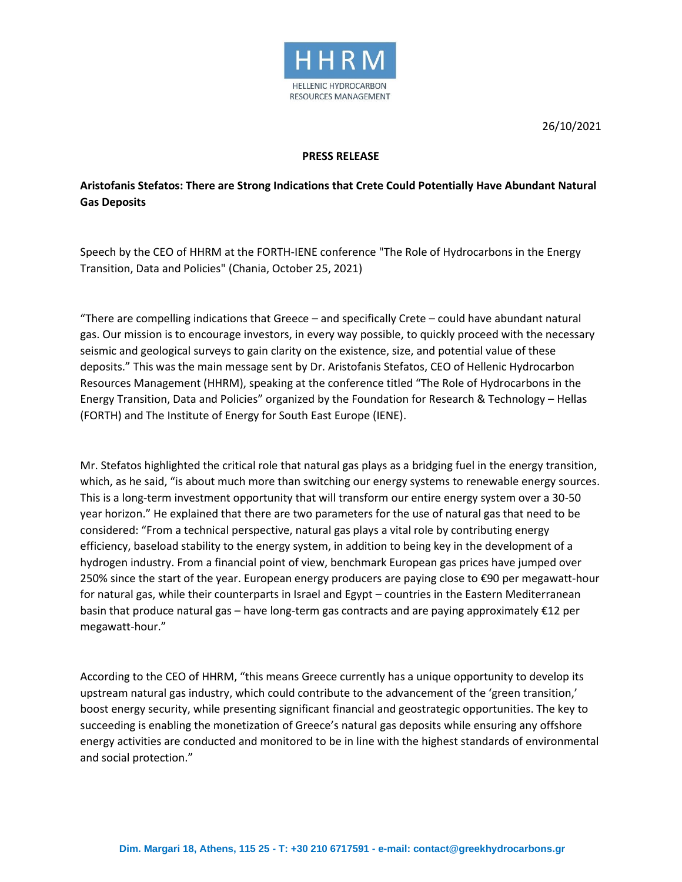

26/10/2021

## **PRESS RELEASE**

## **Aristofanis Stefatos: There are Strong Indications that Crete Could Potentially Have Abundant Natural Gas Deposits**

Speech by the CEO of HHRM at the FORTH-IENE conference "The Role of Hydrocarbons in the Energy Transition, Data and Policies" (Chania, October 25, 2021)

"There are compelling indications that Greece – and specifically Crete – could have abundant natural gas. Our mission is to encourage investors, in every way possible, to quickly proceed with the necessary seismic and geological surveys to gain clarity on the existence, size, and potential value of these deposits." This was the main message sent by Dr. Aristofanis Stefatos, CEO of Hellenic Hydrocarbon Resources Management (HHRM), speaking at the conference titled "The Role of Hydrocarbons in the Energy Transition, Data and Policies" organized by the Foundation for Research & Technology – Hellas (FORTH) and The Institute of Energy for South East Europe (IENE).

Mr. Stefatos highlighted the critical role that natural gas plays as a bridging fuel in the energy transition, which, as he said, "is about much more than switching our energy systems to renewable energy sources. This is a long-term investment opportunity that will transform our entire energy system over a 30-50 year horizon." He explained that there are two parameters for the use of natural gas that need to be considered: "From a technical perspective, natural gas plays a vital role by contributing energy efficiency, baseload stability to the energy system, in addition to being key in the development of a hydrogen industry. From a financial point of view, benchmark European gas prices have jumped over 250% since the start of the year. European energy producers are paying close to €90 per megawatt-hour for natural gas, while their counterparts in Israel and Egypt – countries in the Eastern Mediterranean basin that produce natural gas – have long-term gas contracts and are paying approximately €12 per megawatt-hour."

According to the CEO of HHRM, "this means Greece currently has a unique opportunity to develop its upstream natural gas industry, which could contribute to the advancement of the 'green transition,' boost energy security, while presenting significant financial and geostrategic opportunities. The key to succeeding is enabling the monetization of Greece's natural gas deposits while ensuring any offshore energy activities are conducted and monitored to be in line with the highest standards of environmental and social protection."